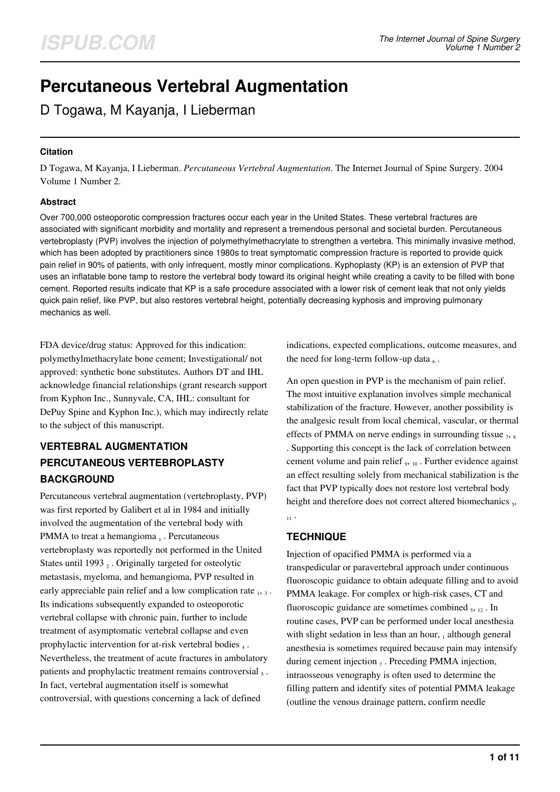# **Percutaneous Vertebral Augmentation**

D Togawa, M Kayanja, I Lieberman

#### **Citation**

D Togawa, M Kayanja, I Lieberman. *Percutaneous Vertebral Augmentation*. The Internet Journal of Spine Surgery. 2004 Volume 1 Number 2.

#### **Abstract**

Over 700,000 osteoporotic compression fractures occur each year in the United States. These vertebral fractures are associated with significant morbidity and mortality and represent a tremendous personal and societal burden. Percutaneous vertebroplasty (PVP) involves the injection of polymethylmethacrylate to strengthen a vertebra. This minimally invasive method, which has been adopted by practitioners since 1980s to treat symptomatic compression fracture is reported to provide quick pain relief in 90% of patients, with only infrequent, mostly minor complications. Kyphoplasty (KP) is an extension of PVP that uses an inflatable bone tamp to restore the vertebral body toward its original height while creating a cavity to be filled with bone cement. Reported results indicate that KP is a safe procedure associated with a lower risk of cement leak that not only yields quick pain relief, like PVP, but also restores vertebral height, potentially decreasing kyphosis and improving pulmonary mechanics as well.

FDA device/drug status: Approved for this indication: polymethylmethacrylate bone cement; Investigational/ not approved: synthetic bone substitutes. Authors DT and IHL acknowledge financial relationships (grant research support from Kyphon Inc., Sunnyvale, CA, IHL: consultant for DePuy Spine and Kyphon Inc.), which may indirectly relate to the subject of this manuscript.

# **VERTEBRAL AUGMENTATION PERCUTANEOUS VERTEBROPLASTY BACKGROUND**

Percutaneous vertebral augmentation (vertebroplasty, PVP) was first reported by Galibert et al in 1984 and initially involved the augmentation of the vertebral body with PMMA to treat a hemangioma 1. Percutaneous vertebroplasty was reportedly not performed in the United States until 1993 $_2$ . Originally targeted for osteolytic metastasis, myeloma, and hemangioma, PVP resulted in early appreciable pain relief and a low complication rate  $_1$ ,  $_3$ . Its indications subsequently expanded to osteoporotic vertebral collapse with chronic pain, further to include treatment of asymptomatic vertebral collapse and even prophylactic intervention for at-risk vertebral bodies  $_4$ . Nevertheless, the treatment of acute fractures in ambulatory patients and prophylactic treatment remains controversial  $<sub>5</sub>$ .</sub> In fact, vertebral augmentation itself is somewhat controversial, with questions concerning a lack of defined

indications, expected complications, outcome measures, and the need for long-term follow-up data  $_6$ .

An open question in PVP is the mechanism of pain relief. The most intuitive explanation involves simple mechanical stabilization of the fracture. However, another possibility is the analgesic result from local chemical, vascular, or thermal effects of PMMA on nerve endings in surrounding tissue  $_7$ ,  $_8$ . Supporting this concept is the lack of correlation between cement volume and pain relief  $_{9, 10}$ . Further evidence against an effect resulting solely from mechanical stabilization is the fact that PVP typically does not restore lost vertebral body height and therefore does not correct altered biomechanics 5,  $11.$ 

# **TECHNIQUE**

Injection of opacified PMMA is performed via a transpedicular or paravertebral approach under continuous fluoroscopic guidance to obtain adequate filling and to avoid PMMA leakage. For complex or high-risk cases, CT and fluoroscopic guidance are sometimes combined  $_5$ ,  $_{12}$ . In routine cases, PVP can be performed under local anesthesia with slight sedation in less than an hour,  $_1$  although general anesthesia is sometimes required because pain may intensify during cement injection  $_7$ . Preceding PMMA injection, intraosseous venography is often used to determine the filling pattern and identify sites of potential PMMA leakage (outline the venous drainage pattern, confirm needle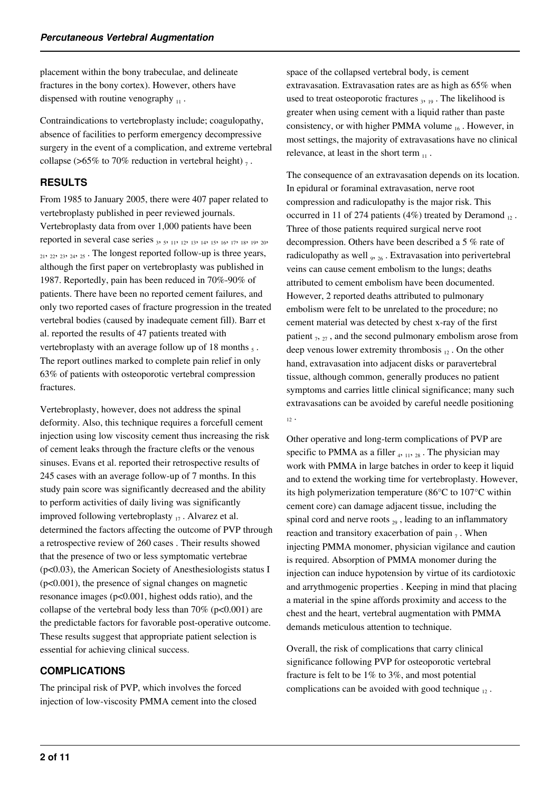placement within the bony trabeculae, and delineate fractures in the bony cortex). However, others have dispensed with routine venography  $\mu$ .

Contraindications to vertebroplasty include; coagulopathy, absence of facilities to perform emergency decompressive surgery in the event of a complication, and extreme vertebral collapse (>65% to 70% reduction in vertebral height)  $_7$ .

# **RESULTS**

From 1985 to January 2005, there were 407 paper related to vertebroplasty published in peer reviewed journals. Vertebroplasty data from over 1,000 patients have been reported in several case series  $_3$ ,  $_5$ ,  $_{11}$ ,  $_{12}$ ,  $_{13}$ ,  $_{14}$ ,  $_{15}$ ,  $_{16}$ ,  $_{17}$ ,  $_{18}$ ,  $_{19}$ ,  $_{20}$ , <sup>21</sup>, 22, 23, 24, 25 . The longest reported follow-up is three years, although the first paper on vertebroplasty was published in 1987. Reportedly, pain has been reduced in 70%-90% of patients. There have been no reported cement failures, and only two reported cases of fracture progression in the treated vertebral bodies (caused by inadequate cement fill). Barr et al. reported the results of 47 patients treated with vertebroplasty with an average follow up of 18 months  $_5$ . The report outlines marked to complete pain relief in only 63% of patients with osteoporotic vertebral compression fractures.

Vertebroplasty, however, does not address the spinal deformity. Also, this technique requires a forcefull cement injection using low viscosity cement thus increasing the risk of cement leaks through the fracture clefts or the venous sinuses. Evans et al. reported their retrospective results of 245 cases with an average follow-up of 7 months. In this study pain score was significantly decreased and the ability to perform activities of daily living was significantly improved following vertebroplasty  $_{17}$ . Alvarez et al. determined the factors affecting the outcome of PVP through a retrospective review of 260 cases . Their results showed that the presence of two or less symptomatic vertebrae (p<0.03), the American Society of Anesthesiologists status I  $(p<0.001)$ , the presence of signal changes on magnetic resonance images (p<0.001, highest odds ratio), and the collapse of the vertebral body less than  $70\%$  (p<0.001) are the predictable factors for favorable post-operative outcome. These results suggest that appropriate patient selection is essential for achieving clinical success.

#### **COMPLICATIONS**

The principal risk of PVP, which involves the forced injection of low-viscosity PMMA cement into the closed space of the collapsed vertebral body, is cement extravasation. Extravasation rates are as high as 65% when used to treat osteoporotic fractures  $_3$ ,  $_{19}$ . The likelihood is greater when using cement with a liquid rather than paste consistency, or with higher PMMA volume  $_{16}$ . However, in most settings, the majority of extravasations have no clinical relevance, at least in the short term  $\ldots$ 

The consequence of an extravasation depends on its location. In epidural or foraminal extravasation, nerve root compression and radiculopathy is the major risk. This occurred in 11 of 274 patients (4%) treated by Deramond  $_{12}$ . Three of those patients required surgical nerve root decompression. Others have been described a 5 % rate of radiculopathy as well  $_{9,26}$ . Extravasation into perivertebral veins can cause cement embolism to the lungs; deaths attributed to cement embolism have been documented. However, 2 reported deaths attributed to pulmonary embolism were felt to be unrelated to the procedure; no cement material was detected by chest x-ray of the first patient  $_7$ ,  $_2$ , and the second pulmonary embolism arose from deep venous lower extremity thrombosis  $_{12}$ . On the other hand, extravasation into adjacent disks or paravertebral tissue, although common, generally produces no patient symptoms and carries little clinical significance; many such extravasations can be avoided by careful needle positioning  $12$ 

Other operative and long-term complications of PVP are specific to PMMA as a filler  $_4$ ,  $_{11}$ ,  $_{28}$ . The physician may work with PMMA in large batches in order to keep it liquid and to extend the working time for vertebroplasty. However, its high polymerization temperature (86°C to 107°C within cement core) can damage adjacent tissue, including the spinal cord and nerve roots  $_{29}$ , leading to an inflammatory reaction and transitory exacerbation of pain  $_7$ . When injecting PMMA monomer, physician vigilance and caution is required. Absorption of PMMA monomer during the injection can induce hypotension by virtue of its cardiotoxic and arrythmogenic properties . Keeping in mind that placing a material in the spine affords proximity and access to the chest and the heart, vertebral augmentation with PMMA demands meticulous attention to technique.

Overall, the risk of complications that carry clinical significance following PVP for osteoporotic vertebral fracture is felt to be 1% to 3%, and most potential complications can be avoided with good technique  $\overline{12}$ .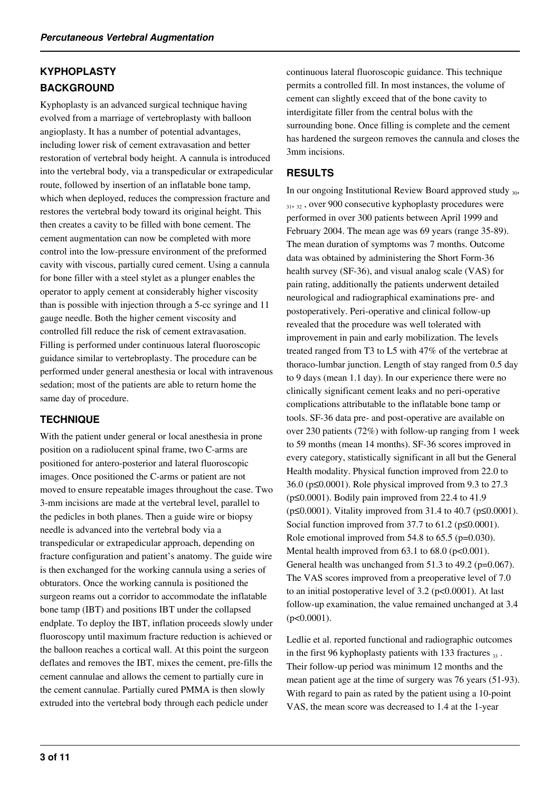# **KYPHOPLASTY BACKGROUND**

Kyphoplasty is an advanced surgical technique having evolved from a marriage of vertebroplasty with balloon angioplasty. It has a number of potential advantages, including lower risk of cement extravasation and better restoration of vertebral body height. A cannula is introduced into the vertebral body, via a transpedicular or extrapedicular route, followed by insertion of an inflatable bone tamp, which when deployed, reduces the compression fracture and restores the vertebral body toward its original height. This then creates a cavity to be filled with bone cement. The cement augmentation can now be completed with more control into the low-pressure environment of the preformed cavity with viscous, partially cured cement. Using a cannula for bone filler with a steel stylet as a plunger enables the operator to apply cement at considerably higher viscosity than is possible with injection through a 5-cc syringe and 11 gauge needle. Both the higher cement viscosity and controlled fill reduce the risk of cement extravasation. Filling is performed under continuous lateral fluoroscopic guidance similar to vertebroplasty. The procedure can be performed under general anesthesia or local with intravenous sedation; most of the patients are able to return home the same day of procedure.

# **TECHNIQUE**

With the patient under general or local anesthesia in prone position on a radiolucent spinal frame, two C-arms are positioned for antero-posterior and lateral fluoroscopic images. Once positioned the C-arms or patient are not moved to ensure repeatable images throughout the case. Two 3-mm incisions are made at the vertebral level, parallel to the pedicles in both planes. Then a guide wire or biopsy needle is advanced into the vertebral body via a transpedicular or extrapedicular approach, depending on fracture configuration and patient's anatomy. The guide wire is then exchanged for the working cannula using a series of obturators. Once the working cannula is positioned the surgeon reams out a corridor to accommodate the inflatable bone tamp (IBT) and positions IBT under the collapsed endplate. To deploy the IBT, inflation proceeds slowly under fluoroscopy until maximum fracture reduction is achieved or the balloon reaches a cortical wall. At this point the surgeon deflates and removes the IBT, mixes the cement, pre-fills the cement cannulae and allows the cement to partially cure in the cement cannulae. Partially cured PMMA is then slowly extruded into the vertebral body through each pedicle under

continuous lateral fluoroscopic guidance. This technique permits a controlled fill. In most instances, the volume of cement can slightly exceed that of the bone cavity to interdigitate filler from the central bolus with the surrounding bone. Once filling is complete and the cement has hardened the surgeon removes the cannula and closes the 3mm incisions.

### **RESULTS**

In our ongoing Institutional Review Board approved study 30,  $31, 32$ , over 900 consecutive kyphoplasty procedures were performed in over 300 patients between April 1999 and February 2004. The mean age was 69 years (range 35-89). The mean duration of symptoms was 7 months. Outcome data was obtained by administering the Short Form-36 health survey (SF-36), and visual analog scale (VAS) for pain rating, additionally the patients underwent detailed neurological and radiographical examinations pre- and postoperatively. Peri-operative and clinical follow-up revealed that the procedure was well tolerated with improvement in pain and early mobilization. The levels treated ranged from T3 to L5 with 47% of the vertebrae at thoraco-lumbar junction. Length of stay ranged from 0.5 day to 9 days (mean 1.1 day). In our experience there were no clinically significant cement leaks and no peri-operative complications attributable to the inflatable bone tamp or tools. SF-36 data pre- and post-operative are available on over 230 patients (72%) with follow-up ranging from 1 week to 59 months (mean 14 months). SF-36 scores improved in every category, statistically significant in all but the General Health modality. Physical function improved from 22.0 to 36.0 (p≤0.0001). Role physical improved from 9.3 to 27.3 ( $p \leq 0.0001$ ). Bodily pain improved from 22.4 to 41.9 (p≤0.0001). Vitality improved from 31.4 to 40.7 (p≤0.0001). Social function improved from 37.7 to 61.2 (p≤0.0001). Role emotional improved from 54.8 to 65.5 (p=0.030). Mental health improved from  $63.1$  to  $68.0$  ( $p < 0.001$ ). General health was unchanged from 51.3 to 49.2 (p=0.067). The VAS scores improved from a preoperative level of 7.0 to an initial postoperative level of  $3.2$  (p<0.0001). At last follow-up examination, the value remained unchanged at 3.4  $(p<0.0001)$ .

Ledlie et al. reported functional and radiographic outcomes in the first 96 kyphoplasty patients with 133 fractures  $_{33}$ . Their follow-up period was minimum 12 months and the mean patient age at the time of surgery was 76 years (51-93). With regard to pain as rated by the patient using a 10-point VAS, the mean score was decreased to 1.4 at the 1-year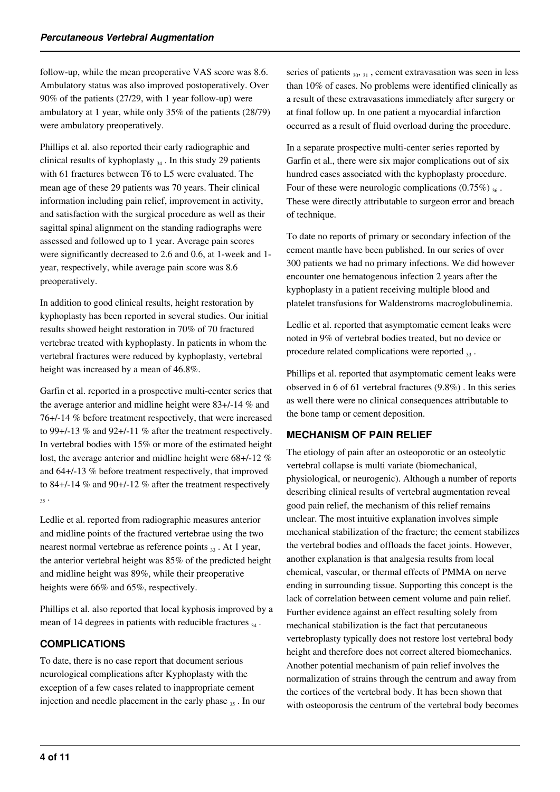follow-up, while the mean preoperative VAS score was 8.6. Ambulatory status was also improved postoperatively. Over 90% of the patients (27/29, with 1 year follow-up) were ambulatory at 1 year, while only 35% of the patients (28/79) were ambulatory preoperatively.

Phillips et al. also reported their early radiographic and clinical results of kyphoplasty  $_{34}$ . In this study 29 patients with 61 fractures between T6 to L5 were evaluated. The mean age of these 29 patients was 70 years. Their clinical information including pain relief, improvement in activity, and satisfaction with the surgical procedure as well as their sagittal spinal alignment on the standing radiographs were assessed and followed up to 1 year. Average pain scores were significantly decreased to 2.6 and 0.6, at 1-week and 1 year, respectively, while average pain score was 8.6 preoperatively.

In addition to good clinical results, height restoration by kyphoplasty has been reported in several studies. Our initial results showed height restoration in 70% of 70 fractured vertebrae treated with kyphoplasty. In patients in whom the vertebral fractures were reduced by kyphoplasty, vertebral height was increased by a mean of 46.8%.

Garfin et al. reported in a prospective multi-center series that the average anterior and midline height were 83+/-14 % and 76+/-14 % before treatment respectively, that were increased to 99+/-13 % and 92+/-11 % after the treatment respectively. In vertebral bodies with 15% or more of the estimated height lost, the average anterior and midline height were 68+/-12 % and 64+/-13 % before treatment respectively, that improved to 84+/-14 % and 90+/-12 % after the treatment respectively  $35.$ 

Ledlie et al. reported from radiographic measures anterior and midline points of the fractured vertebrae using the two nearest normal vertebrae as reference points  $_{33}$ . At 1 year, the anterior vertebral height was 85% of the predicted height and midline height was 89%, while their preoperative heights were 66% and 65%, respectively.

Phillips et al. also reported that local kyphosis improved by a mean of 14 degrees in patients with reducible fractures  $_{34}$ .

# **COMPLICATIONS**

To date, there is no case report that document serious neurological complications after Kyphoplasty with the exception of a few cases related to inappropriate cement injection and needle placement in the early phase  $35$ . In our series of patients  $30, 31$ , cement extravasation was seen in less than 10% of cases. No problems were identified clinically as a result of these extravasations immediately after surgery or at final follow up. In one patient a myocardial infarction occurred as a result of fluid overload during the procedure.

In a separate prospective multi-center series reported by Garfin et al., there were six major complications out of six hundred cases associated with the kyphoplasty procedure. Four of these were neurologic complications  $(0.75\%)_{36}$ . These were directly attributable to surgeon error and breach of technique.

To date no reports of primary or secondary infection of the cement mantle have been published. In our series of over 300 patients we had no primary infections. We did however encounter one hematogenous infection 2 years after the kyphoplasty in a patient receiving multiple blood and platelet transfusions for Waldenstroms macroglobulinemia.

Ledlie et al. reported that asymptomatic cement leaks were noted in 9% of vertebral bodies treated, but no device or procedure related complications were reported  $_{33}$ .

Phillips et al. reported that asymptomatic cement leaks were observed in 6 of 61 vertebral fractures (9.8%) . In this series as well there were no clinical consequences attributable to the bone tamp or cement deposition.

# **MECHANISM OF PAIN RELIEF**

The etiology of pain after an osteoporotic or an osteolytic vertebral collapse is multi variate (biomechanical, physiological, or neurogenic). Although a number of reports describing clinical results of vertebral augmentation reveal good pain relief, the mechanism of this relief remains unclear. The most intuitive explanation involves simple mechanical stabilization of the fracture; the cement stabilizes the vertebral bodies and offloads the facet joints. However, another explanation is that analgesia results from local chemical, vascular, or thermal effects of PMMA on nerve ending in surrounding tissue. Supporting this concept is the lack of correlation between cement volume and pain relief. Further evidence against an effect resulting solely from mechanical stabilization is the fact that percutaneous vertebroplasty typically does not restore lost vertebral body height and therefore does not correct altered biomechanics. Another potential mechanism of pain relief involves the normalization of strains through the centrum and away from the cortices of the vertebral body. It has been shown that with osteoporosis the centrum of the vertebral body becomes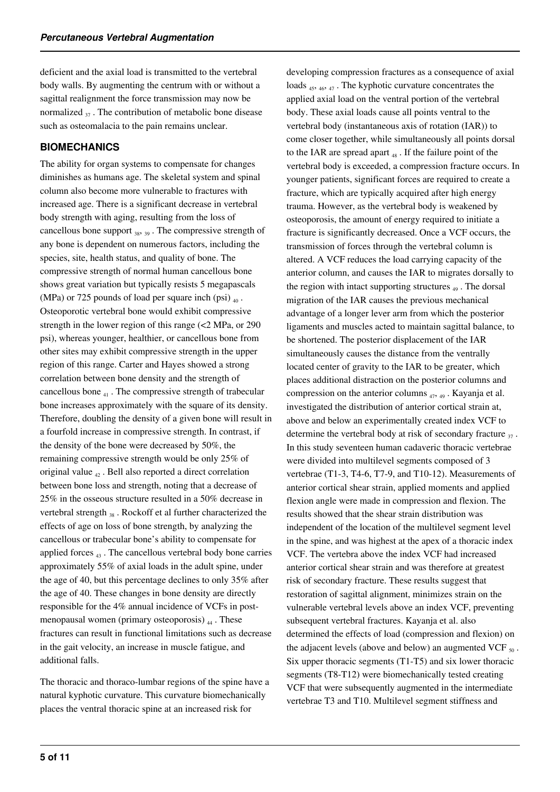deficient and the axial load is transmitted to the vertebral body walls. By augmenting the centrum with or without a sagittal realignment the force transmission may now be normalized  $\alpha$ . The contribution of metabolic bone disease such as osteomalacia to the pain remains unclear.

#### **BIOMECHANICS**

The ability for organ systems to compensate for changes diminishes as humans age. The skeletal system and spinal column also become more vulnerable to fractures with increased age. There is a significant decrease in vertebral body strength with aging, resulting from the loss of cancellous bone support  $_{38}$ ,  $_{39}$ . The compressive strength of any bone is dependent on numerous factors, including the species, site, health status, and quality of bone. The compressive strength of normal human cancellous bone shows great variation but typically resists 5 megapascals (MPa) or 725 pounds of load per square inch (psi)  $_{40}$ . Osteoporotic vertebral bone would exhibit compressive strength in the lower region of this range (<2 MPa, or 290 psi), whereas younger, healthier, or cancellous bone from other sites may exhibit compressive strength in the upper region of this range. Carter and Hayes showed a strong correlation between bone density and the strength of cancellous bone  $_{41}$ . The compressive strength of trabecular bone increases approximately with the square of its density. Therefore, doubling the density of a given bone will result in a fourfold increase in compressive strength. In contrast, if the density of the bone were decreased by 50%, the remaining compressive strength would be only 25% of original value  $\alpha$ . Bell also reported a direct correlation between bone loss and strength, noting that a decrease of 25% in the osseous structure resulted in a 50% decrease in vertebral strength  $38$ . Rockoff et al further characterized the effects of age on loss of bone strength, by analyzing the cancellous or trabecular bone's ability to compensate for applied forces  $_{43}$ . The cancellous vertebral body bone carries approximately 55% of axial loads in the adult spine, under the age of 40, but this percentage declines to only 35% after the age of 40. These changes in bone density are directly responsible for the 4% annual incidence of VCFs in postmenopausal women (primary osteoporosis)  $_{44}$ . These fractures can result in functional limitations such as decrease in the gait velocity, an increase in muscle fatigue, and additional falls.

The thoracic and thoraco-lumbar regions of the spine have a natural kyphotic curvature. This curvature biomechanically places the ventral thoracic spine at an increased risk for

developing compression fractures as a consequence of axial loads 45, 46, 47 . The kyphotic curvature concentrates the applied axial load on the ventral portion of the vertebral body. These axial loads cause all points ventral to the vertebral body (instantaneous axis of rotation (IAR)) to come closer together, while simultaneously all points dorsal to the IAR are spread apart  $_{48}$ . If the failure point of the vertebral body is exceeded, a compression fracture occurs. In younger patients, significant forces are required to create a fracture, which are typically acquired after high energy trauma. However, as the vertebral body is weakened by osteoporosis, the amount of energy required to initiate a fracture is significantly decreased. Once a VCF occurs, the transmission of forces through the vertebral column is altered. A VCF reduces the load carrying capacity of the anterior column, and causes the IAR to migrates dorsally to the region with intact supporting structures  $_{49}$ . The dorsal migration of the IAR causes the previous mechanical advantage of a longer lever arm from which the posterior ligaments and muscles acted to maintain sagittal balance, to be shortened. The posterior displacement of the IAR simultaneously causes the distance from the ventrally located center of gravity to the IAR to be greater, which places additional distraction on the posterior columns and compression on the anterior columns  $_{47, 49}$ . Kayanja et al. investigated the distribution of anterior cortical strain at, above and below an experimentally created index VCF to determine the vertebral body at risk of secondary fracture  $\frac{3}{27}$ . In this study seventeen human cadaveric thoracic vertebrae were divided into multilevel segments composed of 3 vertebrae (T1-3, T4-6, T7-9, and T10-12). Measurements of anterior cortical shear strain, applied moments and applied flexion angle were made in compression and flexion. The results showed that the shear strain distribution was independent of the location of the multilevel segment level in the spine, and was highest at the apex of a thoracic index VCF. The vertebra above the index VCF had increased anterior cortical shear strain and was therefore at greatest risk of secondary fracture. These results suggest that restoration of sagittal alignment, minimizes strain on the vulnerable vertebral levels above an index VCF, preventing subsequent vertebral fractures. Kayanja et al. also determined the effects of load (compression and flexion) on the adjacent levels (above and below) an augmented VCF  $_{50}$ . Six upper thoracic segments (T1-T5) and six lower thoracic segments (T8-T12) were biomechanically tested creating VCF that were subsequently augmented in the intermediate vertebrae T3 and T10. Multilevel segment stiffness and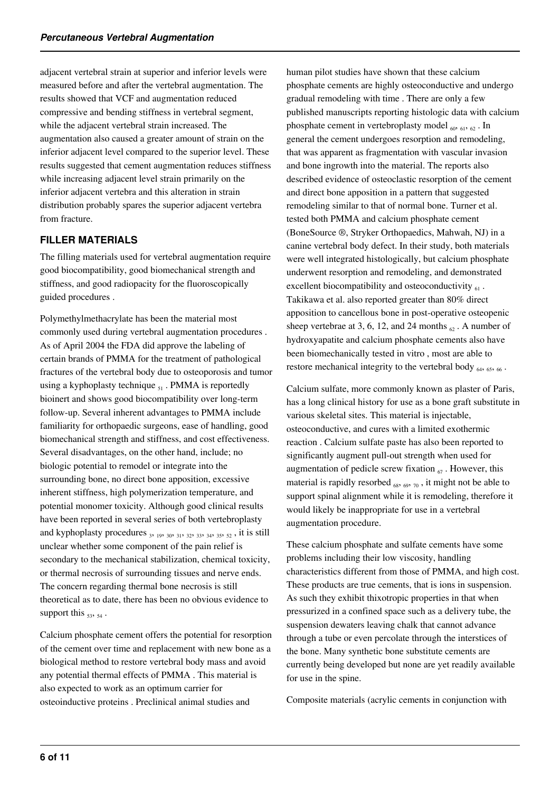adjacent vertebral strain at superior and inferior levels were measured before and after the vertebral augmentation. The results showed that VCF and augmentation reduced compressive and bending stiffness in vertebral segment, while the adjacent vertebral strain increased. The augmentation also caused a greater amount of strain on the inferior adjacent level compared to the superior level. These results suggested that cement augmentation reduces stiffness while increasing adjacent level strain primarily on the inferior adjacent vertebra and this alteration in strain distribution probably spares the superior adjacent vertebra from fracture.

#### **FILLER MATERIALS**

The filling materials used for vertebral augmentation require good biocompatibility, good biomechanical strength and stiffness, and good radiopacity for the fluoroscopically guided procedures .

Polymethylmethacrylate has been the material most commonly used during vertebral augmentation procedures . As of April 2004 the FDA did approve the labeling of certain brands of PMMA for the treatment of pathological fractures of the vertebral body due to osteoporosis and tumor using a kyphoplasty technique  $_{51}$ . PMMA is reportedly bioinert and shows good biocompatibility over long-term follow-up. Several inherent advantages to PMMA include familiarity for orthopaedic surgeons, ease of handling, good biomechanical strength and stiffness, and cost effectiveness. Several disadvantages, on the other hand, include; no biologic potential to remodel or integrate into the surrounding bone, no direct bone apposition, excessive inherent stiffness, high polymerization temperature, and potential monomer toxicity. Although good clinical results have been reported in several series of both vertebroplasty and kyphoplasty procedures  $_3$ ,  $_{19}$ ,  $_{30}$ ,  $_{31}$ ,  $_{32}$ ,  $_{33}$ ,  $_{34}$ ,  $_{35}$ ,  $_{52}$ , it is still unclear whether some component of the pain relief is secondary to the mechanical stabilization, chemical toxicity, or thermal necrosis of surrounding tissues and nerve ends. The concern regarding thermal bone necrosis is still theoretical as to date, there has been no obvious evidence to support this  $_{53}$ ,  $_{54}$ .

Calcium phosphate cement offers the potential for resorption of the cement over time and replacement with new bone as a biological method to restore vertebral body mass and avoid any potential thermal effects of PMMA . This material is also expected to work as an optimum carrier for osteoinductive proteins . Preclinical animal studies and

human pilot studies have shown that these calcium phosphate cements are highly osteoconductive and undergo gradual remodeling with time . There are only a few published manuscripts reporting histologic data with calcium phosphate cement in vertebroplasty model  $_{60}$ ,  $_{61}$ ,  $_{62}$ . In general the cement undergoes resorption and remodeling, that was apparent as fragmentation with vascular invasion and bone ingrowth into the material. The reports also described evidence of osteoclastic resorption of the cement and direct bone apposition in a pattern that suggested remodeling similar to that of normal bone. Turner et al. tested both PMMA and calcium phosphate cement (BoneSource ®, Stryker Orthopaedics, Mahwah, NJ) in a canine vertebral body defect. In their study, both materials were well integrated histologically, but calcium phosphate underwent resorption and remodeling, and demonstrated excellent biocompatibility and osteoconductivity  $_{61}$ . Takikawa et al. also reported greater than 80% direct apposition to cancellous bone in post-operative osteopenic sheep vertebrae at 3, 6, 12, and 24 months  $\epsilon_0$ . A number of hydroxyapatite and calcium phosphate cements also have been biomechanically tested in vitro , most are able to restore mechanical integrity to the vertebral body  $_{64}$ ,  $_{65}$ ,  $_{66}$ .

Calcium sulfate, more commonly known as plaster of Paris, has a long clinical history for use as a bone graft substitute in various skeletal sites. This material is injectable, osteoconductive, and cures with a limited exothermic reaction . Calcium sulfate paste has also been reported to significantly augment pull-out strength when used for augmentation of pedicle screw fixation  $\epsilon_7$ . However, this material is rapidly resorbed  $_{68, 69, 70}$ , it might not be able to support spinal alignment while it is remodeling, therefore it would likely be inappropriate for use in a vertebral augmentation procedure.

These calcium phosphate and sulfate cements have some problems including their low viscosity, handling characteristics different from those of PMMA, and high cost. These products are true cements, that is ions in suspension. As such they exhibit thixotropic properties in that when pressurized in a confined space such as a delivery tube, the suspension dewaters leaving chalk that cannot advance through a tube or even percolate through the interstices of the bone. Many synthetic bone substitute cements are currently being developed but none are yet readily available for use in the spine.

Composite materials (acrylic cements in conjunction with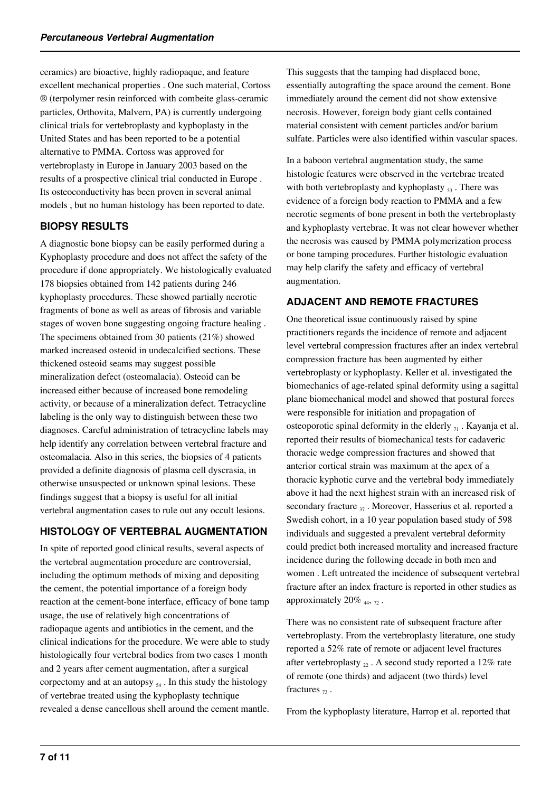ceramics) are bioactive, highly radiopaque, and feature excellent mechanical properties . One such material, Cortoss ® (terpolymer resin reinforced with combeite glass-ceramic particles, Orthovita, Malvern, PA) is currently undergoing clinical trials for vertebroplasty and kyphoplasty in the United States and has been reported to be a potential alternative to PMMA. Cortoss was approved for vertebroplasty in Europe in January 2003 based on the results of a prospective clinical trial conducted in Europe . Its osteoconductivity has been proven in several animal models , but no human histology has been reported to date.

#### **BIOPSY RESULTS**

A diagnostic bone biopsy can be easily performed during a Kyphoplasty procedure and does not affect the safety of the procedure if done appropriately. We histologically evaluated 178 biopsies obtained from 142 patients during 246 kyphoplasty procedures. These showed partially necrotic fragments of bone as well as areas of fibrosis and variable stages of woven bone suggesting ongoing fracture healing . The specimens obtained from 30 patients (21%) showed marked increased osteoid in undecalcified sections. These thickened osteoid seams may suggest possible mineralization defect (osteomalacia). Osteoid can be increased either because of increased bone remodeling activity, or because of a mineralization defect. Tetracycline labeling is the only way to distinguish between these two diagnoses. Careful administration of tetracycline labels may help identify any correlation between vertebral fracture and osteomalacia. Also in this series, the biopsies of 4 patients provided a definite diagnosis of plasma cell dyscrasia, in otherwise unsuspected or unknown spinal lesions. These findings suggest that a biopsy is useful for all initial vertebral augmentation cases to rule out any occult lesions.

# **HISTOLOGY OF VERTEBRAL AUGMENTATION**

In spite of reported good clinical results, several aspects of the vertebral augmentation procedure are controversial, including the optimum methods of mixing and depositing the cement, the potential importance of a foreign body reaction at the cement-bone interface, efficacy of bone tamp usage, the use of relatively high concentrations of radiopaque agents and antibiotics in the cement, and the clinical indications for the procedure. We were able to study histologically four vertebral bodies from two cases 1 month and 2 years after cement augmentation, after a surgical corpectomy and at an autopsy  $_{54}$ . In this study the histology of vertebrae treated using the kyphoplasty technique revealed a dense cancellous shell around the cement mantle. This suggests that the tamping had displaced bone, essentially autografting the space around the cement. Bone immediately around the cement did not show extensive necrosis. However, foreign body giant cells contained material consistent with cement particles and/or barium sulfate. Particles were also identified within vascular spaces.

In a baboon vertebral augmentation study, the same histologic features were observed in the vertebrae treated with both vertebroplasty and kyphoplasty  $_{53}$ . There was evidence of a foreign body reaction to PMMA and a few necrotic segments of bone present in both the vertebroplasty and kyphoplasty vertebrae. It was not clear however whether the necrosis was caused by PMMA polymerization process or bone tamping procedures. Further histologic evaluation may help clarify the safety and efficacy of vertebral augmentation.

#### **ADJACENT AND REMOTE FRACTURES**

One theoretical issue continuously raised by spine practitioners regards the incidence of remote and adjacent level vertebral compression fractures after an index vertebral compression fracture has been augmented by either vertebroplasty or kyphoplasty. Keller et al. investigated the biomechanics of age-related spinal deformity using a sagittal plane biomechanical model and showed that postural forces were responsible for initiation and propagation of osteoporotic spinal deformity in the elderly  $_{71}$ . Kayanja et al. reported their results of biomechanical tests for cadaveric thoracic wedge compression fractures and showed that anterior cortical strain was maximum at the apex of a thoracic kyphotic curve and the vertebral body immediately above it had the next highest strain with an increased risk of secondary fracture  $37$ . Moreover, Hasserius et al. reported a Swedish cohort, in a 10 year population based study of 598 individuals and suggested a prevalent vertebral deformity could predict both increased mortality and increased fracture incidence during the following decade in both men and women . Left untreated the incidence of subsequent vertebral fracture after an index fracture is reported in other studies as approximately 20%  $_{44}$ ,  $_{72}$ .

There was no consistent rate of subsequent fracture after vertebroplasty. From the vertebroplasty literature, one study reported a 52% rate of remote or adjacent level fractures after vertebroplasty  $_{22}$ . A second study reported a 12% rate of remote (one thirds) and adjacent (two thirds) level fractures  $73$ .

From the kyphoplasty literature, Harrop et al. reported that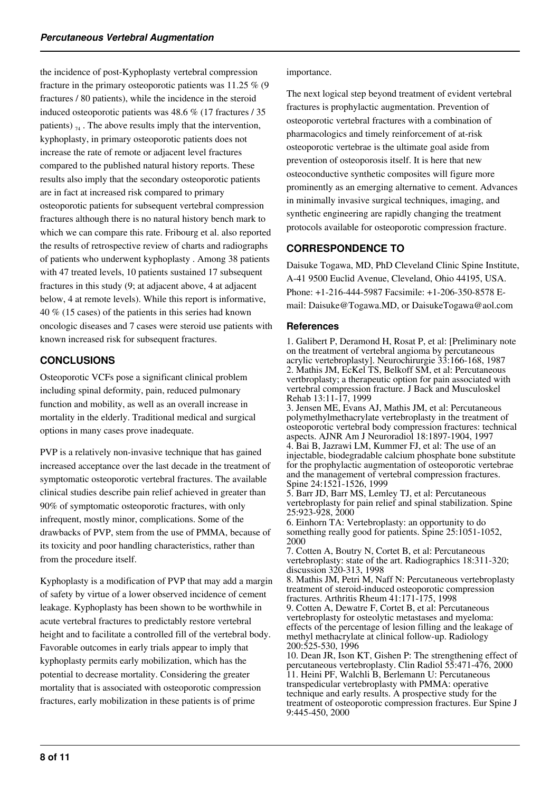the incidence of post-Kyphoplasty vertebral compression fracture in the primary osteoporotic patients was 11.25 % (9 fractures / 80 patients), while the incidence in the steroid induced osteoporotic patients was 48.6 % (17 fractures / 35 patients)  $\tau_4$ . The above results imply that the intervention, kyphoplasty, in primary osteoporotic patients does not increase the rate of remote or adjacent level fractures compared to the published natural history reports. These results also imply that the secondary osteoporotic patients are in fact at increased risk compared to primary osteoporotic patients for subsequent vertebral compression fractures although there is no natural history bench mark to which we can compare this rate. Fribourg et al. also reported the results of retrospective review of charts and radiographs of patients who underwent kyphoplasty . Among 38 patients with 47 treated levels, 10 patients sustained 17 subsequent fractures in this study (9; at adjacent above, 4 at adjacent below, 4 at remote levels). While this report is informative, 40 % (15 cases) of the patients in this series had known oncologic diseases and 7 cases were steroid use patients with known increased risk for subsequent fractures.

#### **CONCLUSIONS**

Osteoporotic VCFs pose a significant clinical problem including spinal deformity, pain, reduced pulmonary function and mobility, as well as an overall increase in mortality in the elderly. Traditional medical and surgical options in many cases prove inadequate.

PVP is a relatively non-invasive technique that has gained increased acceptance over the last decade in the treatment of symptomatic osteoporotic vertebral fractures. The available clinical studies describe pain relief achieved in greater than 90% of symptomatic osteoporotic fractures, with only infrequent, mostly minor, complications. Some of the drawbacks of PVP, stem from the use of PMMA, because of its toxicity and poor handling characteristics, rather than from the procedure itself.

Kyphoplasty is a modification of PVP that may add a margin of safety by virtue of a lower observed incidence of cement leakage. Kyphoplasty has been shown to be worthwhile in acute vertebral fractures to predictably restore vertebral height and to facilitate a controlled fill of the vertebral body. Favorable outcomes in early trials appear to imply that kyphoplasty permits early mobilization, which has the potential to decrease mortality. Considering the greater mortality that is associated with osteoporotic compression fractures, early mobilization in these patients is of prime

#### importance.

The next logical step beyond treatment of evident vertebral fractures is prophylactic augmentation. Prevention of osteoporotic vertebral fractures with a combination of pharmacologics and timely reinforcement of at-risk osteoporotic vertebrae is the ultimate goal aside from prevention of osteoporosis itself. It is here that new osteoconductive synthetic composites will figure more prominently as an emerging alternative to cement. Advances in minimally invasive surgical techniques, imaging, and synthetic engineering are rapidly changing the treatment protocols available for osteoporotic compression fracture.

#### **CORRESPONDENCE TO**

Daisuke Togawa, MD, PhD Cleveland Clinic Spine Institute, A-41 9500 Euclid Avenue, Cleveland, Ohio 44195, USA. Phone: +1-216-444-5987 Facsimile: +1-206-350-8578 Email: Daisuke@Togawa.MD, or DaisukeTogawa@aol.com

#### **References**

1. Galibert P, Deramond H, Rosat P, et al: [Preliminary note on the treatment of vertebral angioma by percutaneous acrylic vertebroplasty]. Neurochirurgie 33:166-168, 1987 2. Mathis JM, EcKel TS, Belkoff SM, et al: Percutaneous vertbroplasty; a therapeutic option for pain associated with vertebral compression fracture. J Back and Musculoskel Rehab 13:11-17, 1999

3. Jensen ME, Evans AJ, Mathis JM, et al: Percutaneous polymethylmethacrylate vertebroplasty in the treatment of osteoporotic vertebral body compression fractures: technical aspects. AJNR Am J Neuroradiol 18:1897-1904, 1997 4. Bai B, Jazrawi LM, Kummer FJ, et al: The use of an injectable, biodegradable calcium phosphate bone substitute for the prophylactic augmentation of osteoporotic vertebrae and the management of vertebral compression fractures. Spine 24:1521-1526, 1999

5. Barr JD, Barr MS, Lemley TJ, et al: Percutaneous vertebroplasty for pain relief and spinal stabilization. Spine 25:923-928, 2000

6. Einhorn TA: Vertebroplasty: an opportunity to do something really good for patients. Spine 25:1051-1052, 2000

7. Cotten A, Boutry N, Cortet B, et al: Percutaneous vertebroplasty: state of the art. Radiographics 18:311-320; discussion 320-313, 1998

8. Mathis JM, Petri M, Naff N: Percutaneous vertebroplasty treatment of steroid-induced osteoporotic compression fractures. Arthritis Rheum 41:171-175, 1998

9. Cotten A, Dewatre F, Cortet B, et al: Percutaneous vertebroplasty for osteolytic metastases and myeloma: effects of the percentage of lesion filling and the leakage of methyl methacrylate at clinical follow-up. Radiology 200:525-530, 1996

10. Dean JR, Ison KT, Gishen P: The strengthening effect of percutaneous vertebroplasty. Clin Radiol 55:471-476, 2000 11. Heini PF, Walchli B, Berlemann U: Percutaneous transpedicular vertebroplasty with PMMA: operative technique and early results. A prospective study for the treatment of osteoporotic compression fractures. Eur Spine J 9:445-450, 2000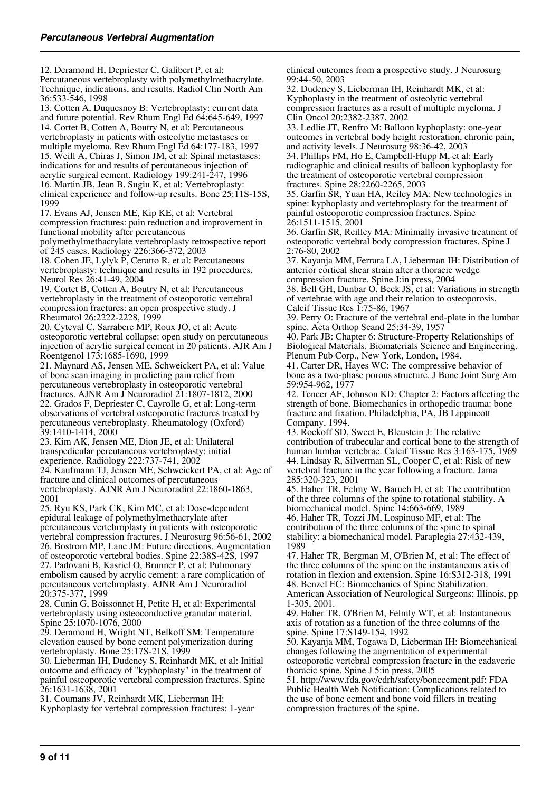12. Deramond H, Depriester C, Galibert P, et al: Percutaneous vertebroplasty with polymethylmethacrylate. Technique, indications, and results. Radiol Clin North Am 36:533-546, 1998 13. Cotten A, Duquesnoy B: Vertebroplasty: current data and future potential. Rev Rhum Engl Ed 64:645-649, 1997 14. Cortet B, Cotten A, Boutry N, et al: Percutaneous vertebroplasty in patients with osteolytic metastases or multiple myeloma. Rev Rhum Engl Ed 64:177-183, 1997 15. Weill A, Chiras J, Simon JM, et al: Spinal metastases: indications for and results of percutaneous injection of acrylic surgical cement. Radiology 199:241-247, 1996 16. Martin JB, Jean B, Sugiu K, et al: Vertebroplasty: clinical experience and follow-up results. Bone 25:11S-15S, 1999 17. Evans AJ, Jensen ME, Kip KE, et al: Vertebral compression fractures: pain reduction and improvement in functional mobility after percutaneous polymethylmethacrylate vertebroplasty retrospective report of 245 cases. Radiology 226:366-372, 2003 18. Cohen JE, Lylyk P, Ceratto R, et al: Percutaneous vertebroplasty: technique and results in 192 procedures. Neurol Res 26:41-49, 2004 19. Cortet B, Cotten A, Boutry N, et al: Percutaneous vertebroplasty in the treatment of osteoporotic vertebral compression fractures: an open prospective study. J Rheumatol 26:2222-2228, 1999 20. Cyteval C, Sarrabere MP, Roux JO, et al: Acute osteoporotic vertebral collapse: open study on percutaneous injection of acrylic surgical cement in 20 patients. AJR Am J Roentgenol 173:1685-1690, 1999 21. Maynard AS, Jensen ME, Schweickert PA, et al: Value of bone scan imaging in predicting pain relief from percutaneous vertebroplasty in osteoporotic vertebral fractures. AJNR Am J Neuroradiol 21:1807-1812, 2000 22. Grados F, Depriester C, Cayrolle G, et al: Long-term observations of vertebral osteoporotic fractures treated by percutaneous vertebroplasty. Rheumatology (Oxford) 39:1410-1414, 2000 23. Kim AK, Jensen ME, Dion JE, et al: Unilateral transpedicular percutaneous vertebroplasty: initial experience. Radiology 222:737-741, 2002 24. Kaufmann TJ, Jensen ME, Schweickert PA, et al: Age of fracture and clinical outcomes of percutaneous vertebroplasty. AJNR Am J Neuroradiol 22:1860-1863, 2001 25. Ryu KS, Park CK, Kim MC, et al: Dose-dependent epidural leakage of polymethylmethacrylate after percutaneous vertebroplasty in patients with osteoporotic vertebral compression fractures. J Neurosurg 96:56-61, 2002 26. Bostrom MP, Lane JM: Future directions. Augmentation of osteoporotic vertebral bodies. Spine 22:38S-42S, 1997 27. Padovani B, Kasriel O, Brunner P, et al: Pulmonary embolism caused by acrylic cement: a rare complication of percutaneous vertebroplasty. AJNR Am J Neuroradiol 20:375-377, 1999 28. Cunin G, Boissonnet H, Petite H, et al: Experimental vertebroplasty using osteoconductive granular material. Spine 25:1070-1076, 2000

29. Deramond H, Wright NT, Belkoff SM: Temperature elevation caused by bone cement polymerization during vertebroplasty. Bone 25:17S-21S, 1999

30. Lieberman IH, Dudeney S, Reinhardt MK, et al: Initial outcome and efficacy of "kyphoplasty" in the treatment of painful osteoporotic vertebral compression fractures. Spine 26:1631-1638, 2001

31. Coumans JV, Reinhardt MK, Lieberman IH: Kyphoplasty for vertebral compression fractures: 1-year clinical outcomes from a prospective study. J Neurosurg 99:44-50, 2003

32. Dudeney S, Lieberman IH, Reinhardt MK, et al: Kyphoplasty in the treatment of osteolytic vertebral compression fractures as a result of multiple myeloma. J Clin Oncol 20:2382-2387, 2002

33. Ledlie JT, Renfro M: Balloon kyphoplasty: one-year outcomes in vertebral body height restoration, chronic pain, and activity levels. J Neurosurg 98:36-42, 2003

34. Phillips FM, Ho E, Campbell-Hupp M, et al: Early radiographic and clinical results of balloon kyphoplasty for the treatment of osteoporotic vertebral compression fractures. Spine 28:2260-2265, 2003

35. Garfin SR, Yuan HA, Reiley MA: New technologies in spine: kyphoplasty and vertebroplasty for the treatment of painful osteoporotic compression fractures. Spine 26:1511-1515, 2001

36. Garfin SR, Reilley MA: Minimally invasive treatment of osteoporotic vertebral body compression fractures. Spine J 2:76-80, 2002

37. Kayanja MM, Ferrara LA, Lieberman IH: Distribution of anterior cortical shear strain after a thoracic wedge compression fracture. Spine J:in press, 2004

38. Bell GH, Dunbar O, Beck JS, et al: Variations in strength of vertebrae with age and their relation to osteoporosis.

Calcif Tissue Res 1:75-86, 1967 39. Perry O: Fracture of the vertebral end-plate in the lumbar

spine. Acta Orthop Scand 25:34-39, 1957

40. Park JB: Chapter 6: Structure-Property Relationships of Biological Materials. Biomaterials Science and Engineering. Plenum Pub Corp., New York, London, 1984.

41. Carter DR, Hayes WC: The compressive behavior of bone as a two-phase porous structure. J Bone Joint Surg Am 59:954-962, 1977

42. Tencer AF, Johnson KD: Chapter 2: Factors affecting the strength of bone. Biomechanics in orthopedic trauma: bone fracture and fixation. Philadelphia, PA, JB Lippincott Company, 1994.

43. Rockoff SD, Sweet E, Bleustein J: The relative contribution of trabecular and cortical bone to the strength of human lumbar vertebrae. Calcif Tissue Res 3:163-175, 1969 44. Lindsay R, Silverman SL, Cooper C, et al: Risk of new vertebral fracture in the year following a fracture. Jama 285:320-323, 2001

45. Haher TR, Felmy W, Baruch H, et al: The contribution of the three columns of the spine to rotational stability. A biomechanical model. Spine 14:663-669, 1989

46. Haher TR, Tozzi JM, Lospinuso MF, et al: The contribution of the three columns of the spine to spinal stability: a biomechanical model. Paraplegia 27:432-439, 1989

47. Haher TR, Bergman M, O'Brien M, et al: The effect of the three columns of the spine on the instantaneous axis of rotation in flexion and extension. Spine 16:S312-318, 1991 48. Benzel EC: Biomechanics of Spine Stabilization.

American Association of Neurological Surgeons: Illinois, pp 1-305, 2001.

49. Haher TR, O'Brien M, Felmly WT, et al: Instantaneous axis of rotation as a function of the three columns of the spine. Spine 17:S149-154, 1992

50. Kayanja MM, Togawa D, Lieberman IH: Biomechanical changes following the augmentation of experimental osteoporotic vertebral compression fracture in the cadaveric thoracic spine. Spine J 5:in press, 2005

51. http://www.fda.gov/cdrh/safety/bonecement.pdf: FDA Public Health Web Notification: Complications related to the use of bone cement and bone void fillers in treating compression fractures of the spine.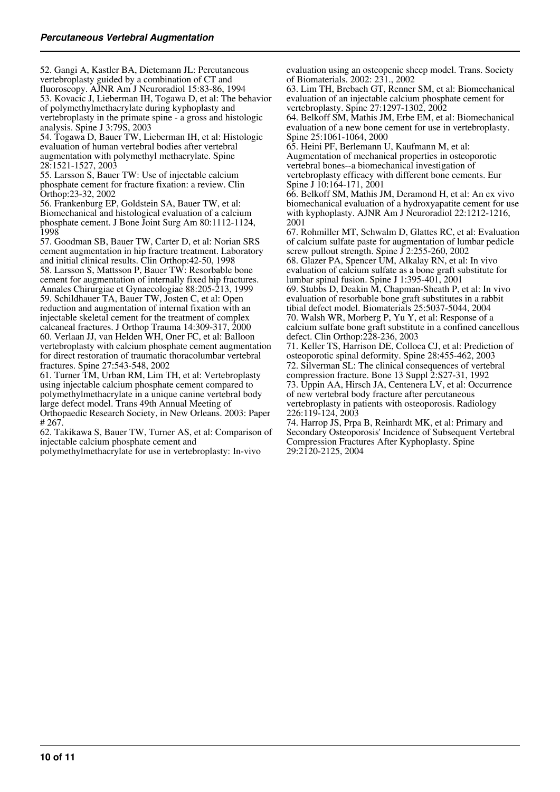52. Gangi A, Kastler BA, Dietemann JL: Percutaneous vertebroplasty guided by a combination of CT and fluoroscopy. AJNR Am J Neuroradiol 15:83-86, 1994 53. Kovacic J, Lieberman IH, Togawa D, et al: The behavior of polymethylmethacrylate during kyphoplasty and vertebroplasty in the primate spine - a gross and histologic

analysis. Spine J 3:79S, 2003 54. Togawa D, Bauer TW, Lieberman IH, et al: Histologic evaluation of human vertebral bodies after vertebral augmentation with polymethyl methacrylate. Spine 28:1521-1527, 2003

55. Larsson S, Bauer TW: Use of injectable calcium phosphate cement for fracture fixation: a review. Clin Orthop:23-32, 2002

56. Frankenburg EP, Goldstein SA, Bauer TW, et al: Biomechanical and histological evaluation of a calcium phosphate cement. J Bone Joint Surg Am 80:1112-1124, 1998

57. Goodman SB, Bauer TW, Carter D, et al: Norian SRS cement augmentation in hip fracture treatment. Laboratory and initial clinical results. Clin Orthop:42-50, 1998 58. Larsson S, Mattsson P, Bauer TW: Resorbable bone cement for augmentation of internally fixed hip fractures. Annales Chirurgiae et Gynaecologiae 88:205-213, 1999 59. Schildhauer TA, Bauer TW, Josten C, et al: Open reduction and augmentation of internal fixation with an injectable skeletal cement for the treatment of complex calcaneal fractures. J Orthop Trauma 14:309-317, 2000 60. Verlaan JJ, van Helden WH, Oner FC, et al: Balloon vertebroplasty with calcium phosphate cement augmentation for direct restoration of traumatic thoracolumbar vertebral fractures. Spine 27:543-548, 2002

61. Turner TM, Urban RM, Lim TH, et al: Vertebroplasty using injectable calcium phosphate cement compared to polymethylmethacrylate in a unique canine vertebral body large defect model. Trans 49th Annual Meeting of Orthopaedic Research Society, in New Orleans. 2003: Paper # 267.

62. Takikawa S, Bauer TW, Turner AS, et al: Comparison of injectable calcium phosphate cement and polymethylmethacrylate for use in vertebroplasty: In-vivo

evaluation using an osteopenic sheep model. Trans. Society of Biomaterials. 2002: 231., 2002

63. Lim TH, Brebach GT, Renner SM, et al: Biomechanical evaluation of an injectable calcium phosphate cement for vertebroplasty. Spine 27:1297-1302, 2002

64. Belkoff SM, Mathis JM, Erbe EM, et al: Biomechanical evaluation of a new bone cement for use in vertebroplasty. Spine 25:1061-1064, 2000

65. Heini PF, Berlemann U, Kaufmann M, et al: Augmentation of mechanical properties in osteoporotic vertebral bones--a biomechanical investigation of vertebroplasty efficacy with different bone cements. Eur Spine J 10:164-171, 2001

66. Belkoff SM, Mathis JM, Deramond H, et al: An ex vivo biomechanical evaluation of a hydroxyapatite cement for use with kyphoplasty. AJNR Am J Neuroradiol 22:1212-1216, 2001

67. Rohmiller MT, Schwalm D, Glattes RC, et al: Evaluation of calcium sulfate paste for augmentation of lumbar pedicle screw pullout strength. Spine J 2:255-260, 2002 68. Glazer PA, Spencer UM, Alkalay RN, et al: In vivo

evaluation of calcium sulfate as a bone graft substitute for lumbar spinal fusion. Spine J 1:395-401, 2001

69. Stubbs D, Deakin M, Chapman-Sheath P, et al: In vivo evaluation of resorbable bone graft substitutes in a rabbit tibial defect model. Biomaterials 25:5037-5044, 2004 70. Walsh WR, Morberg P, Yu Y, et al: Response of a calcium sulfate bone graft substitute in a confined cancellous defect. Clin Orthop:228-236, 2003

71. Keller TS, Harrison DE, Colloca CJ, et al: Prediction of osteoporotic spinal deformity. Spine 28:455-462, 2003 72. Silverman SL: The clinical consequences of vertebral compression fracture. Bone 13 Suppl 2:S27-31, 1992 73. Uppin AA, Hirsch JA, Centenera LV, et al: Occurrence of new vertebral body fracture after percutaneous vertebroplasty in patients with osteoporosis. Radiology 226:119-124, 2003

74. Harrop JS, Prpa B, Reinhardt MK, et al: Primary and Secondary Osteoporosis' Incidence of Subsequent Vertebral Compression Fractures After Kyphoplasty. Spine 29:2120-2125, 2004